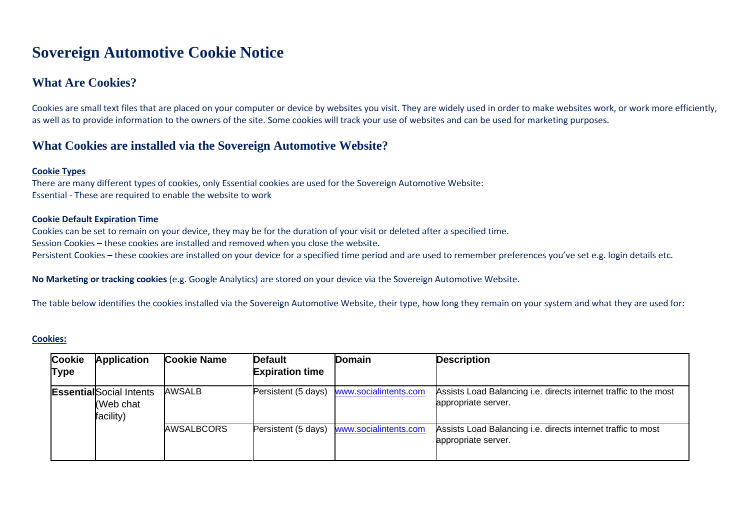# **Sovereign Automotive Cookie Notice**

# **What Are Cookies?**

Cookies are small text files that are placed on your computer or device by websites you visit. They are widely used in order to make websites work, or work more efficiently, as well as to provide information to the owners of the site. Some cookies will track your use of websites and can be used for marketing purposes.

# **What Cookies are installed via the Sovereign Automotive Website?**

#### **Cookie Types**

There are many different types of cookies, only Essential cookies are used for the Sovereign Automotive Website: Essential - These are required to enable the website to work

#### **Cookie Default Expiration Time**

Cookies can be set to remain on your device, they may be for the duration of your visit or deleted after a specified time. Session Cookies – these cookies are installed and removed when you close the website. Persistent Cookies – these cookies are installed on your device for a specified time period and are used to remember preferences you've set e.g. login details etc.

**No Marketing or tracking cookies** (e.g. Google Analytics) are stored on your device via the Sovereign Automotive Website.

The table below identifies the cookies installed via the Sovereign Automotive Website, their type, how long they remain on your system and what they are used for:

#### **Cookies:**

| <b>Cookie</b><br><b>Type</b> | <b>Application</b>                                        | <b>Cookie Name</b> | <b>Default</b><br><b>Expiration time</b> | <b>Domain</b>         | <b>Description</b>                                                                      |
|------------------------------|-----------------------------------------------------------|--------------------|------------------------------------------|-----------------------|-----------------------------------------------------------------------------------------|
|                              | <b>Essential</b> Social Intents<br>(Web chat<br>facility) | <b>AWSALB</b>      | Persistent (5 days)                      | www.socialintents.com | Assists Load Balancing i.e. directs internet traffic to the most<br>appropriate server. |
|                              |                                                           | <b>AWSALBCORS</b>  | Persistent (5 days)                      | www.socialintents.com | Assists Load Balancing i.e. directs internet traffic to most<br>appropriate server.     |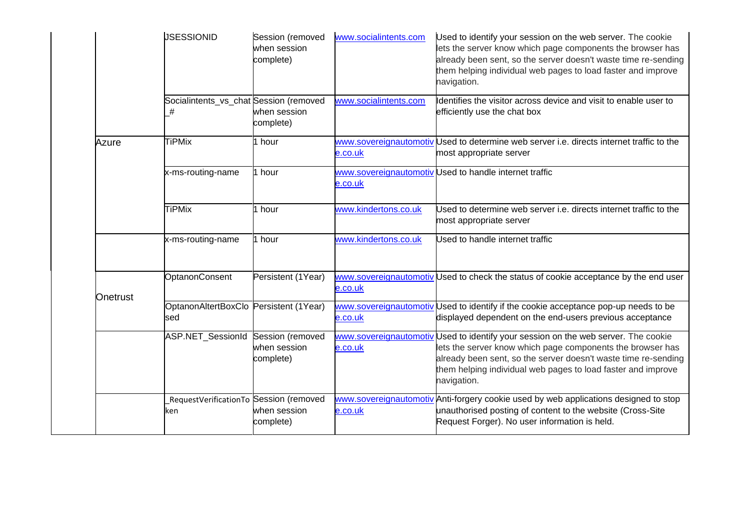|          | <b>JSESSIONID</b>                             | Session (removed<br>when session<br>complete) | www.socialintents.com | Used to identify your session on the web server. The cookie<br>lets the server know which page components the browser has<br>already been sent, so the server doesn't waste time re-sending<br>them helping individual web pages to load faster and improve<br>navigation.                        |
|----------|-----------------------------------------------|-----------------------------------------------|-----------------------|---------------------------------------------------------------------------------------------------------------------------------------------------------------------------------------------------------------------------------------------------------------------------------------------------|
|          | Socialintents_vs_chat Session (removed<br>#   | when session<br>complete)                     | www.socialintents.com | Identifies the visitor across device and visit to enable user to<br>efficiently use the chat box                                                                                                                                                                                                  |
| Azure    | <b>TiPMix</b>                                 | 1 hour                                        | e.co.uk               | www.sovereignautomotiv Used to determine web server i.e. directs internet traffic to the<br>most appropriate server                                                                                                                                                                               |
|          | x-ms-routing-name                             | 1 hour                                        | e.co.uk               | www.sovereignautomotiv Used to handle internet traffic                                                                                                                                                                                                                                            |
|          | <b>TiPMix</b>                                 | 1 hour                                        | www.kindertons.co.uk  | Used to determine web server i.e. directs internet traffic to the<br>most appropriate server                                                                                                                                                                                                      |
|          | x-ms-routing-name                             | 1 hour                                        | www.kindertons.co.uk  | Used to handle internet traffic                                                                                                                                                                                                                                                                   |
| Onetrust | OptanonConsent                                | Persistent (1Year)                            | e.co.uk               | www.sovereignautomotiv Used to check the status of cookie acceptance by the end user                                                                                                                                                                                                              |
|          | OptanonAltertBoxClo Persistent (1Year)<br>sed |                                               | e.co.uk               | www.sovereignautomotiv Used to identify if the cookie acceptance pop-up needs to be<br>displayed dependent on the end-users previous acceptance                                                                                                                                                   |
|          | ASP.NET_SessionId Session (removed            | when session<br>complete)                     | e.co.uk               | www.sovereignautomotiv Used to identify your session on the web server. The cookie<br>lets the server know which page components the browser has<br>already been sent, so the server doesn't waste time re-sending<br>them helping individual web pages to load faster and improve<br>navigation. |
|          | RequestVerificationTo Session (removed<br>ken | when session<br>complete)                     | e.co.uk               | www.sovereignautomotiv Anti-forgery cookie used by web applications designed to stop<br>unauthorised posting of content to the website (Cross-Site<br>Request Forger). No user information is held.                                                                                               |